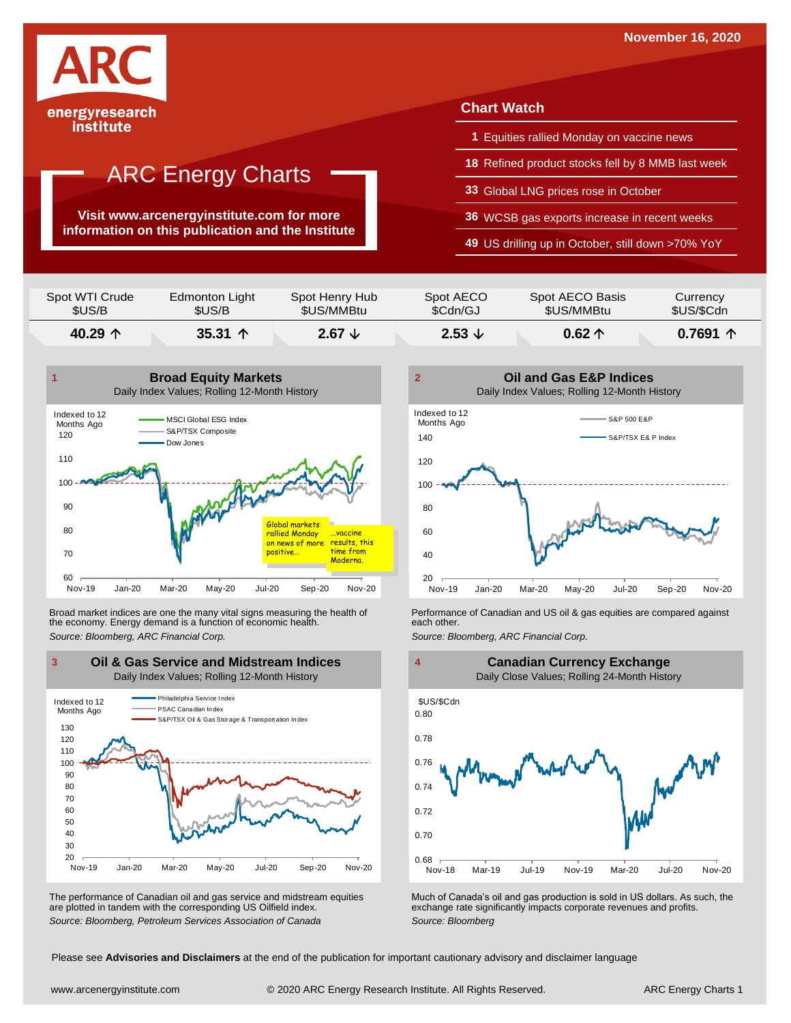

### institute

## **ARC Energy Charts**

**Visit www.arcenergyinstitute.com for more information on this publication and the Institute**

### **Chart Watch**

- **1** Equities rallied Monday on vaccine news
- **18** Refined product stocks fell by 8 MMB last week
- **33** Global LNG prices rose in October
- **36** WCSB gas exports increase in recent weeks
- **49** US drilling up in October, still down >70% YoY

| \$US/B         | \$US/B         | \$US/MMBtu     | \$Cdn/GJ  | \$US/MMBtu      | \$US/\$Cdn |
|----------------|----------------|----------------|-----------|-----------------|------------|
| Spot WTI Crude | Edmonton Light | Spot Henry Hub | Spot AECO | Spot AECO Basis | Currency   |



Broad market indices are one the many vital signs measuring the health of **Performance of Canadian and US oil &** gas equities are compared against the economy. Energy demand is a function of economic health. **The exact oth** the economy. Energy demand is a function of economic health.



The performance of Canadian oil and gas service and midstream equities are plotted in tandem with the corresponding US Oilfield index.





The performance of Canadian oil and gas service and midstream equities Much of Canada's oil and gas production is sold in US dollars. As such, the are plotted in tandem with the corresponding US Oilfield index.<br>
Source: Bl

Please see **Advisories and Disclaimers** at the end of the publication for important cautionary advisory and disclaimer language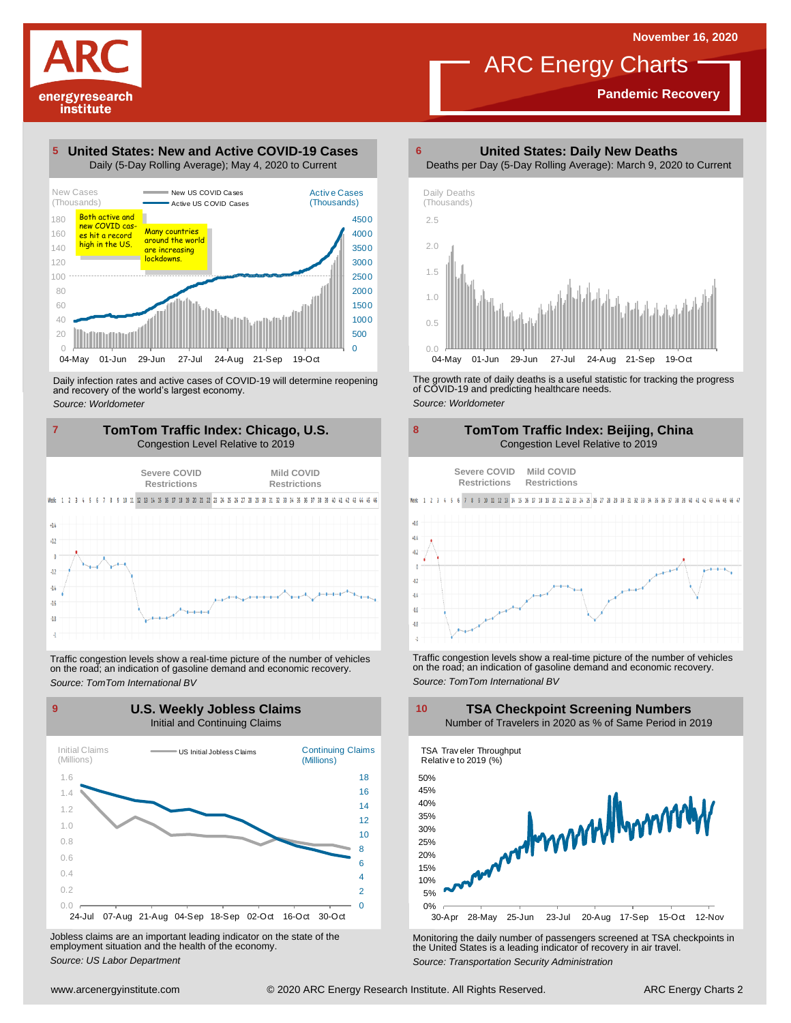## ARC Energy Charts

**Pandemic Recovery**

### **United States: New and Active COVID-19 Cases 5**

energyresearch institute



Daily infection rates and active cases of COVID-19 will determine reopening and recovery of the world's largest economy. *Source: Worldometer*



Traffic congestion levels show <sup>a</sup> real-time picture of the number of vehicles on the road; an indication of gasoline demand and economic recovery. *Source: TomTom International BV*



Jobless claims are an important leading indicator on the state of the employment situation and the health of the economy. *Source: US Labor Department*

**United States: Daily New Deaths 6**





The growth rate of daily deaths is <sup>a</sup> useful statistic for tracking the progress of COVID-19 and predicting healthcare needs. *Source: Worldometer*



Traffic congestion levels show <sup>a</sup> real-time picture of the number of vehicles on the road; an indication of gasoline demand and economic recovery. *Source: TomTom International BV*

**TSA Checkpoint Screening Numbers**



Monitoring the daily number of passengers screened at TSA checkpoints in the United States is <sup>a</sup> leading indicator of recovery in air travel. *Source: Transportation Security Administration*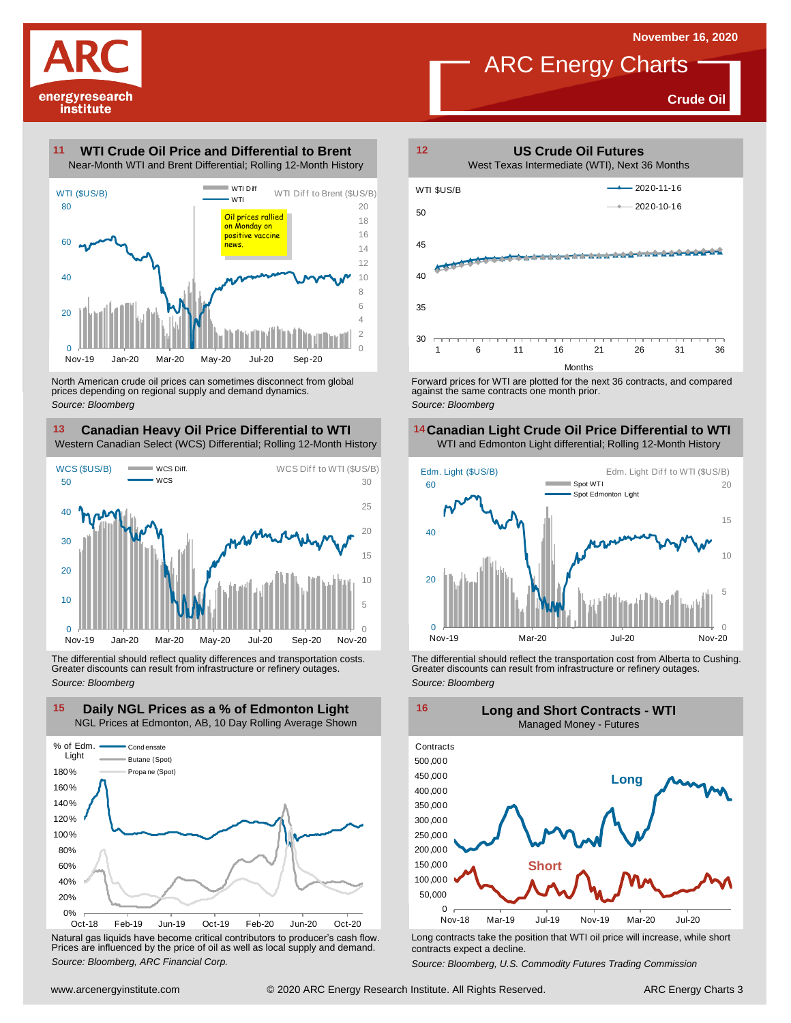**Crude Oil**



**11**

## **WTI Crude Oil Price and Differential to Brent**



North American crude oil prices can sometimes disconnect from global prices depending on regional supply and demand dynamics. *Source: Bloomberg*

### **Canadian Heavy Oil Price Differential to WTI 13 14**

Western Canadian Select (WCS) Differential; Rolling 12-Month History



The differential should reflect quality differences and transportation costs. Greater discounts can result from infrastructure or refinery outages. *Source: Bloomberg*



Natural gas liquids have become critical contributors to producer's cash flow. Long contracts take the position that WTI oil price will increase, while short<br>Prices are influenced by the price of oil as well as local suppl



ARC Energy Charts

against the same contracts one month prior. *Source: Bloomberg*

## **Canadian Light Crude Oil Price Differential to WTI**



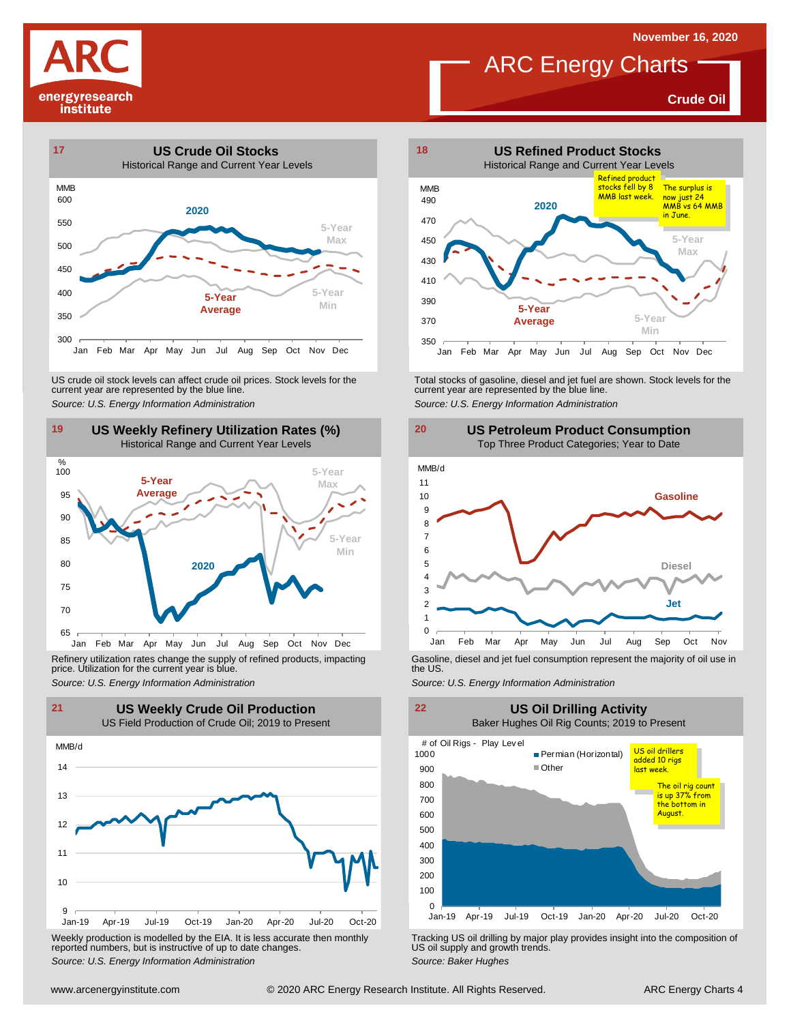**November 16, 2020**

**Crude Oil**







Refinery utilization rates change the supply of refined products, impacting price. Utilization for the current year is blue. Refinery utilization rates change the supply of refined products, impacting<br>
price. Utilization for the current year is blue.<br>
Source: U.S. Energy Information Administration<br>
Source: U.S. Energy Information Administration<br>



Weekly production is modelled by the EIA. It is less accurate then monthly reported numbers, but is instructive of up to date changes. *Source: Weekly production* is modelled by the EIA. It is less accurate then monthly **Tracking US oil drilling by major play provides insight into the composition of reported numbers, but is instructive of up to date cha** 



ARC Energy Charts

US crude oil stock levels can affect crude oil prices. Stock levels for the<br>
current year are represented by the blue line.<br>
Source: U.S. Energy Information Administration<br>
19 US Weekly Refinery Utilization Rates (%)<br>
Hist







US oil supply and growth trends. *Source: Baker Hughes*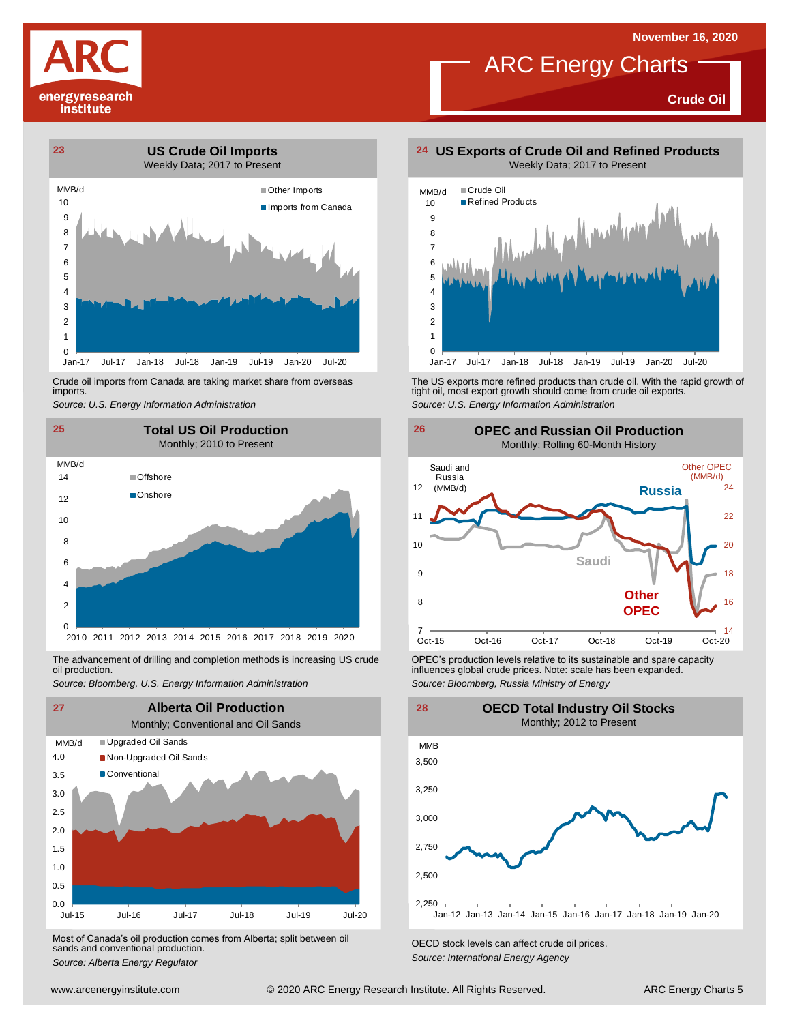### **November 16, 2020**



## ARC Energy Charts

**Crude Oil**



Crude oil imports from Canada are taking market share from overseas imports.



oil production.



Most of Canada's oil production comes from Alberta; split between oil sands and conventional production. *Source: Alberta Energy Regulator Comes Irom Alberta*; *Split between on CECD stock levels can affect crude oil prices. Source: Alberta Energy Agency*<br>*Source: Alberta Energy Regulator Capacitor Energy Ag* 



Crude oil imports from Canada are taking market share from overseas The US exports more refined products than crude oil. With the rapid growth of tight oil, most exports more refined products than crude oil exports.<br>import *Source: U.S. Energy Information Administration*



The advancement of drilling and completion methods is increasing US crude CPEC's production levels relative to its sustainable and spare capacity<br>oil production. influences global crude prices. Note: scale has been expande influences global crude prices. Note: scale has been expanded. *Source: Bloomberg, Russia Ministry of Energy*

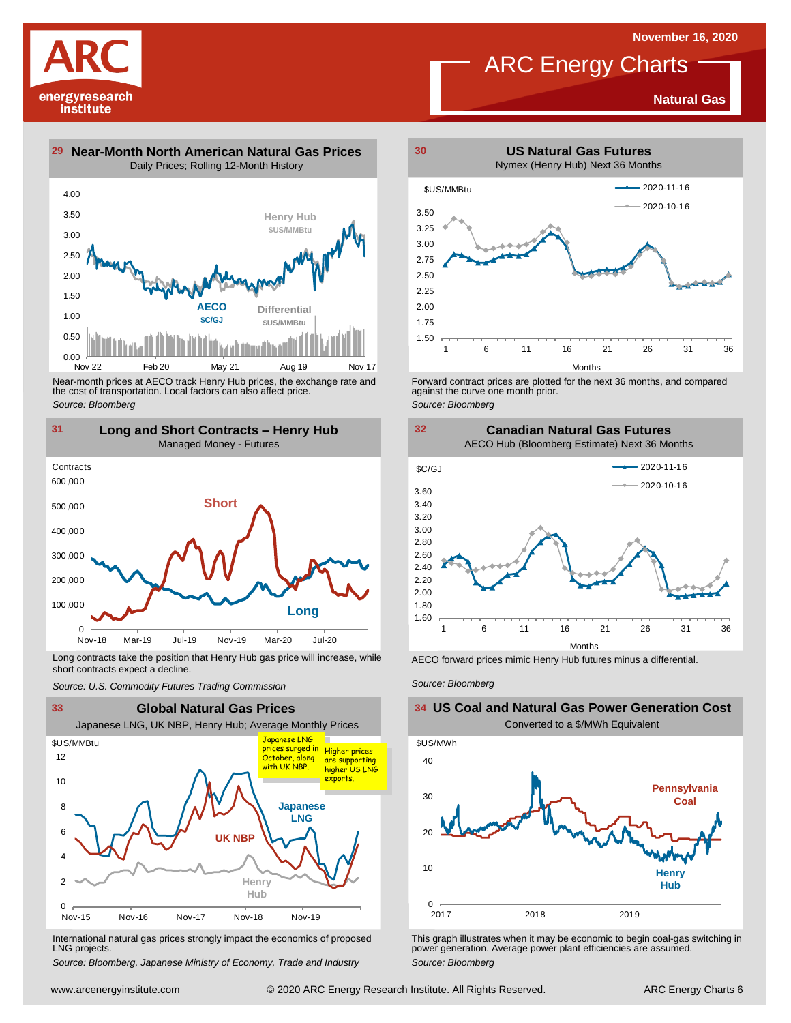**Natural Gas**

# energyresearch institute



**Differential \$US/MMBtu**

 $0.00$   $\frac{\mu}{\mu}$ <br>Nov 22 0.50 Nov 22 Feb 20 May 21 Aug 19 Nov 17

**AECO \$C/GJ**

*Source: Bloomberg*

1.00



Long contracts take the position that Henry Hub gas price will increase, while short contracts expect a decline. *Source: U.S. Commodity Futures Trading Commission* AECO forward prices mimic Henry Hub futures minus <sup>a</sup> differential. *Source: Bloomberg*



International natural gas prices strongly impact the economics of proposed LNG projects.

*Source: Bloomberg, Japanese Ministry of Economy, Trade and Industry*



ARC Energy Charts

Forward contract prices are plotted for the next <sup>36</sup> months, and compared against the curve one month prior.

*Source: Bloomberg*



### **US Coal and Natural Gas Power Generation Cost** Converted to a \$/MWh Equivalent



This graph illustrates when it may be economic to begin coal-gas switching in power generation. Average power plant efficiencies are assumed. *Source: Bloomberg*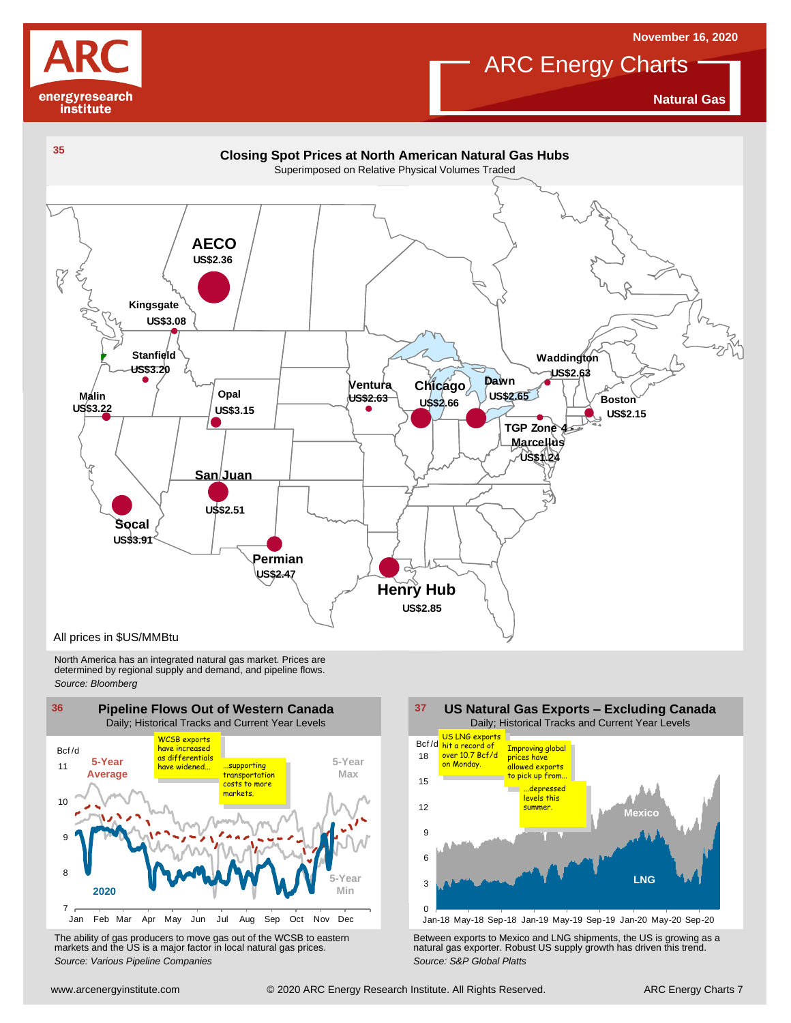

## **November 16, 2020**

**ARC Energy Charts** 

**Natural Gas**



North America has an integrated natural gas market. Prices are determined by regional supply and demand, and pipeline flows. *Source: Bloomberg*



The ability of gas producers to move gas out of the WCSB to eastern markets and the US is <sup>a</sup> major factor in local natural gas prices.



Using the Markets and the US is a major factor in local natural gas prices.<br>
The ability of gas producers to move gas out of the WCSB to eastern<br>
markets and the US is a major factor in local natural gas prices.<br>
Source: V The ability of gas producers to move gas out of the WCSB to eastern<br>
markets and the US is a major factor in local natural gas prices.<br>
Source: Various Pipeline Companies<br>
Source: S&P Global Platts<br>
Source: S&P Global Plat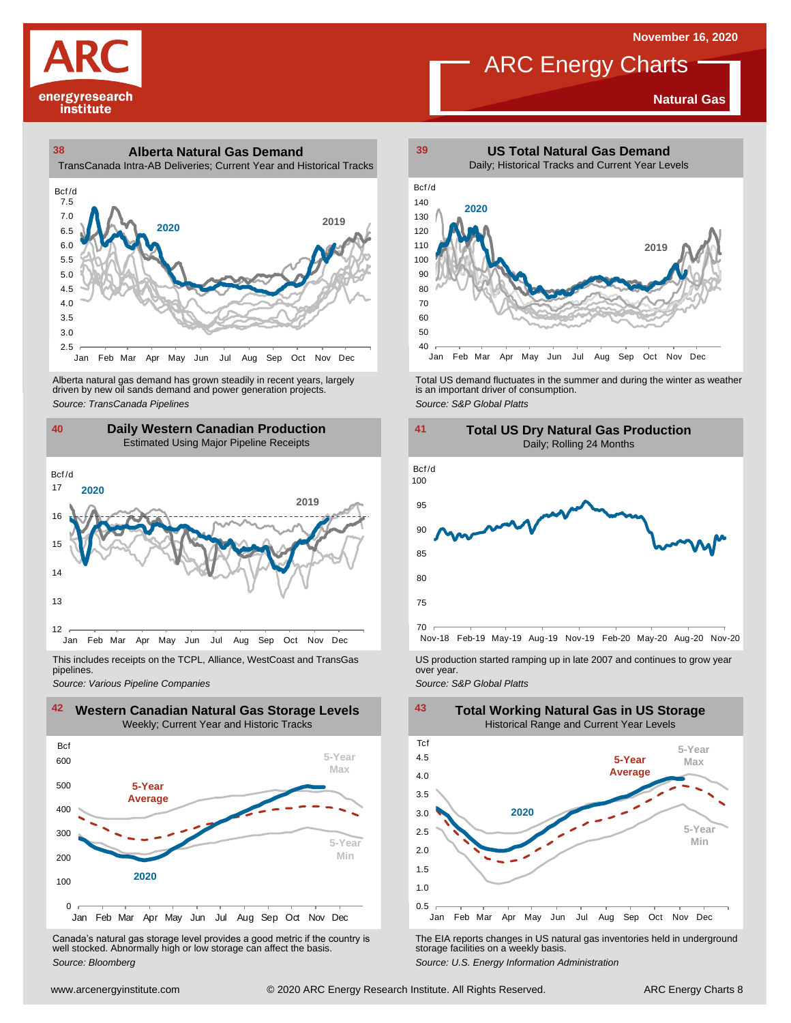**Natural Gas**

# energyresearch institute

### **38 39 Alberta Natural Gas Demand** TransCanada Intra-AB Deliveries; Current Year and Historical Tracks



Alberta natural gas demand has grown steadily in recent years, largely<br>
driven by new oil sands demand and power generation projects.<br>
Source: TransCanada Pipelines<br>
Source: S&P Global Platts<br>
Daily Western Canadian Produc Alberta natural gas demand has grown steadily in recent years, largely **Total US** demand fluctuates in the summer and during the winter as weather driven by new oil sands demand and power generation projects.<br>And is an imp



This includes receipts on the TCPL, Alliance, WestCoast and TransGas pipelines.



Canada's natural gas storage level provides <sup>a</sup> good metric if the country is well stocked. Abnormally high or low storage can affect the basis. *Source: Bloomberg*



ARC Energy Charts



*Source: Pipelines Pipelines Pipelines Pipelines DSproduction started ramping up in late 2007 and continues to grow year pipelines. Source: Various Pipeline Companies Source: Various Pipeline Companies SA* 



The EIA reports changes in US natural gas inventories held in underground storage facilities on <sup>a</sup> weekly basis.

*Source: U.S. Energy Information Administration*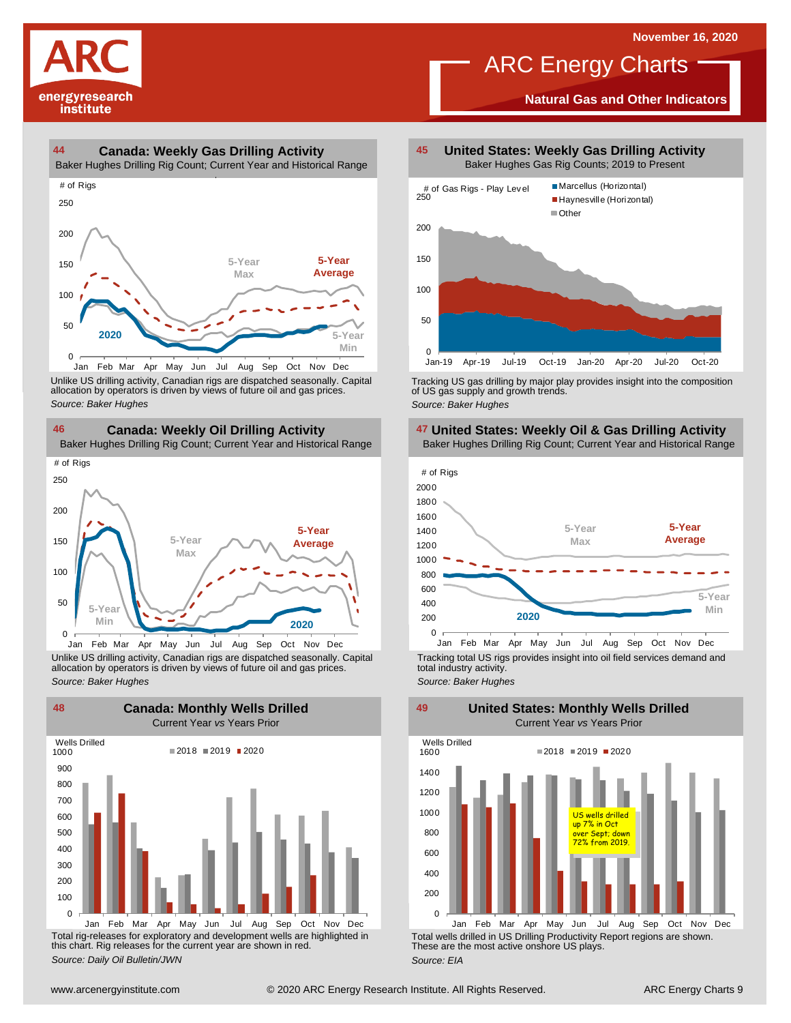# energyresearch institute

## ARC Energy Charts

**Natural Gas and Other Indicators**





Unlike US drilling activity, Canadian rigs are dispatched seasonally. Capital allocation by operators is driven by views of future oil and gas prices. 0<br>
Jan Feb Mar Apr May Jun<br>
Unlike US drilling activity, Canadian allocation by operators is driven by v<br>
Source: Baker Hughes



Unlike US drilling activity, Canadian rigs are dispatched seasonally. Capital Tracking total US rigs provides insight into oil field services demand and<br>allocation by operators is driven by views of future oil and gas pric



Total rig-releases for exploratory and development wells are highlighted in this chart. Rig releases for the current year are shown in red. *Source: Daily Oil Bulletin/JWN*

**United States: Weekly Gas Drilling Activity** Baker Hughes Gas Rig Counts; 2019 to Present



Tracking US gas drilling by major play provides insight into the composition of US gas supply and growth trends. *Source: Baker Hughes*







total industry activity. *Source: Baker Hughes*

**United States: Monthly Wells Drilled**

0 200 400 600 800 1000 1200 1400 1600 Jan Feb Mar Apr May Jun Jul Aug Sep Oct Nov Dec Wells Drilled  $2018 = 2019 = 2020$ US wells drilled up 7% in Oct Sept; down rom 2019

Total wells drilled in US Drilling Productivity Report regions are shown. These are the most active onshore US plays. *Source: EIA*